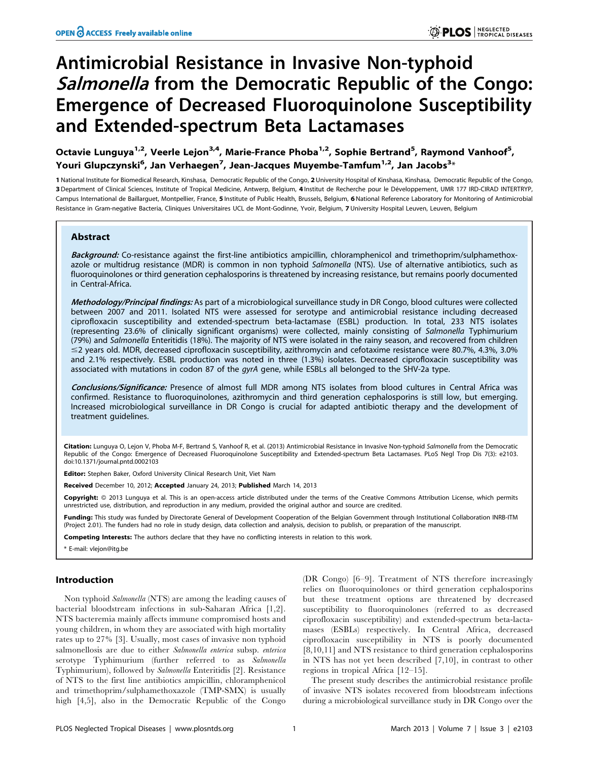# Antimicrobial Resistance in Invasive Non-typhoid Salmonella from the Democratic Republic of the Congo: Emergence of Decreased Fluoroquinolone Susceptibility and Extended-spectrum Beta Lactamases

Octavie Lunguya<sup>1,2</sup>, Veerle Lejon<sup>3,4</sup>, Marie-France Phoba<sup>1,2</sup>, Sophie Bertrand<sup>5</sup>, Raymond Vanhoof<sup>5</sup>, Youri Glupczynski<sup>6</sup>, Jan Verhaegen<sup>7</sup>, Jean-Jacques Muyembe-Tamfum<sup>1,2</sup>, Jan Jacobs<sup>3</sup>\*

1 National Institute for Biomedical Research, Kinshasa, Democratic Republic of the Congo, 2 University Hospital of Kinshasa, Kinshasa, Democratic Republic of the Congo, 3 Department of Clinical Sciences, Institute of Tropical Medicine, Antwerp, Belgium, 4 Institut de Recherche pour le Développement, UMR 177 IRD-CIRAD INTERTRYP, Campus International de Baillarguet, Montpellier, France, 5 Institute of Public Health, Brussels, Belgium, 6 National Reference Laboratory for Monitoring of Antimicrobial Resistance in Gram-negative Bacteria, Cliniques Universitaires UCL de Mont-Godinne, Yvoir, Belgium, 7 University Hospital Leuven, Leuven, Belgium

# Abstract

Background: Co-resistance against the first-line antibiotics ampicillin, chloramphenicol and trimethoprim/sulphamethoxazole or multidrug resistance (MDR) is common in non typhoid Salmonella (NTS). Use of alternative antibiotics, such as fluoroquinolones or third generation cephalosporins is threatened by increasing resistance, but remains poorly documented in Central-Africa.

Methodology/Principal findings: As part of a microbiological surveillance study in DR Congo, blood cultures were collected between 2007 and 2011. Isolated NTS were assessed for serotype and antimicrobial resistance including decreased ciprofloxacin susceptibility and extended-spectrum beta-lactamase (ESBL) production. In total, 233 NTS isolates (representing 23.6% of clinically significant organisms) were collected, mainly consisting of Salmonella Typhimurium (79%) and Salmonella Enteritidis (18%). The majority of NTS were isolated in the rainy season, and recovered from children  $\leq$  2 years old. MDR, decreased ciprofloxacin susceptibility, azithromycin and cefotaxime resistance were 80.7%, 4.3%, 3.0% and 2.1% respectively. ESBL production was noted in three (1.3%) isolates. Decreased ciprofloxacin susceptibility was associated with mutations in codon 87 of the gyrA gene, while ESBLs all belonged to the SHV-2a type.

Conclusions/Significance: Presence of almost full MDR among NTS isolates from blood cultures in Central Africa was confirmed. Resistance to fluoroquinolones, azithromycin and third generation cephalosporins is still low, but emerging. Increased microbiological surveillance in DR Congo is crucial for adapted antibiotic therapy and the development of treatment guidelines.

Citation: Lunguya O, Lejon V, Phoba M-F, Bertrand S, Vanhoof R, et al. (2013) Antimicrobial Resistance in Invasive Non-typhoid Salmonella from the Democratic Republic of the Congo: Emergence of Decreased Fluoroquinolone Susceptibility and Extended-spectrum Beta Lactamases. PLoS Negl Trop Dis 7(3): e2103. doi:10.1371/journal.pntd.0002103

Editor: Stephen Baker, Oxford University Clinical Research Unit, Viet Nam

Received December 10, 2012; Accepted January 24, 2013; Published March 14, 2013

Copyright: © 2013 Lunguya et al. This is an open-access article distributed under the terms of the Creative Commons Attribution License, which permits unrestricted use, distribution, and reproduction in any medium, provided the original author and source are credited.

Funding: This study was funded by Directorate General of Development Cooperation of the Belgian Government through Institutional Collaboration INRB-ITM (Project 2.01). The funders had no role in study design, data collection and analysis, decision to publish, or preparation of the manuscript.

Competing Interests: The authors declare that they have no conflicting interests in relation to this work.

\* E-mail: vlejon@itg.be

## Introduction

Non typhoid Salmonella (NTS) are among the leading causes of bacterial bloodstream infections in sub-Saharan Africa [1,2]. NTS bacteremia mainly affects immune compromised hosts and young children, in whom they are associated with high mortality rates up to 27% [3]. Usually, most cases of invasive non typhoid salmonellosis are due to either Salmonella enterica subsp. enterica serotype Typhimurium (further referred to as Salmonella Typhimurium), followed by Salmonella Enteritidis [2]. Resistance of NTS to the first line antibiotics ampicillin, chloramphenicol and trimethoprim/sulphamethoxazole (TMP-SMX) is usually high [4,5], also in the Democratic Republic of the Congo

(DR Congo) [6–9]. Treatment of NTS therefore increasingly relies on fluoroquinolones or third generation cephalosporins but these treatment options are threatened by decreased susceptibility to fluoroquinolones (referred to as decreased ciprofloxacin susceptibility) and extended-spectrum beta-lactamases (ESBLs) respectively. In Central Africa, decreased ciprofloxacin susceptibility in NTS is poorly documented [8,10,11] and NTS resistance to third generation cephalosporins in NTS has not yet been described [7,10], in contrast to other regions in tropical Africa [12–15].

The present study describes the antimicrobial resistance profile of invasive NTS isolates recovered from bloodstream infections during a microbiological surveillance study in DR Congo over the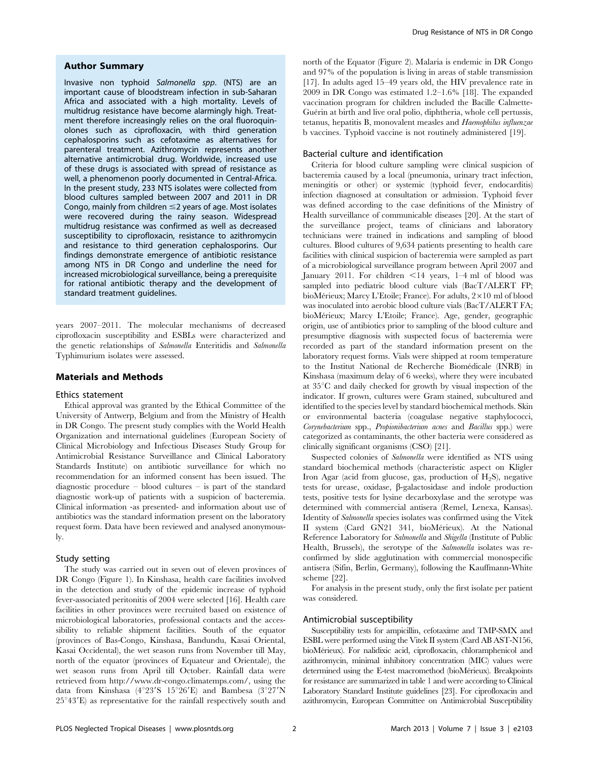#### Author Summary

Invasive non typhoid Salmonella spp. (NTS) are an important cause of bloodstream infection in sub-Saharan Africa and associated with a high mortality. Levels of multidrug resistance have become alarmingly high. Treatment therefore increasingly relies on the oral fluoroquinolones such as ciprofloxacin, with third generation cephalosporins such as cefotaxime as alternatives for parenteral treatment. Azithromycin represents another alternative antimicrobial drug. Worldwide, increased use of these drugs is associated with spread of resistance as well, a phenomenon poorly documented in Central-Africa. In the present study, 233 NTS isolates were collected from blood cultures sampled between 2007 and 2011 in DR Congo, mainly from children  $\leq$  years of age. Most isolates were recovered during the rainy season. Widespread multidrug resistance was confirmed as well as decreased susceptibility to ciprofloxacin, resistance to azithromycin and resistance to third generation cephalosporins. Our findings demonstrate emergence of antibiotic resistance among NTS in DR Congo and underline the need for increased microbiological surveillance, being a prerequisite for rational antibiotic therapy and the development of standard treatment guidelines.

years 2007–2011. The molecular mechanisms of decreased ciprofloxacin susceptibility and ESBLs were characterized and the genetic relationships of Salmonella Enteritidis and Salmonella Typhimurium isolates were assessed.

# Materials and Methods

#### Ethics statement

Ethical approval was granted by the Ethical Committee of the University of Antwerp, Belgium and from the Ministry of Health in DR Congo. The present study complies with the World Health Organization and international guidelines (European Society of Clinical Microbiology and Infectious Diseases Study Group for Antimicrobial Resistance Surveillance and Clinical Laboratory Standards Institute) on antibiotic surveillance for which no recommendation for an informed consent has been issued. The diagnostic procedure – blood cultures – is part of the standard diagnostic work-up of patients with a suspicion of bacteremia. Clinical information -as presented- and information about use of antibiotics was the standard information present on the laboratory request form. Data have been reviewed and analysed anonymously.

#### Study setting

The study was carried out in seven out of eleven provinces of DR Congo (Figure 1). In Kinshasa, health care facilities involved in the detection and study of the epidemic increase of typhoid fever-associated peritonitis of 2004 were selected [16]. Health care facilities in other provinces were recruited based on existence of microbiological laboratories, professional contacts and the accessibility to reliable shipment facilities. South of the equator (provinces of Bas-Congo, Kinshasa, Bandundu, Kasai Oriental, Kasai Occidental), the wet season runs from November till May, north of the equator (provinces of Equateur and Orientale), the wet season runs from April till October. Rainfall data were retrieved from http://www.dr-congo.climatemps.com/, using the data from Kinshasa (4°23'S 15°26'E) and Bambesa (3°27'N  $25^{\circ}43'E$ ) as representative for the rainfall respectively south and

north of the Equator (Figure 2). Malaria is endemic in DR Congo and 97% of the population is living in areas of stable transmission [17]. In adults aged 15–49 years old, the HIV prevalence rate in 2009 in DR Congo was estimated 1.2–1.6% [18]. The expanded vaccination program for children included the Bacille Calmette-Guérin at birth and live oral polio, diphtheria, whole cell pertussis, tetanus, hepatitis B, monovalent measles and Haemophilus influenzae b vaccines. Typhoid vaccine is not routinely administered [19].

#### Bacterial culture and identification

Criteria for blood culture sampling were clinical suspicion of bacteremia caused by a local (pneumonia, urinary tract infection, meningitis or other) or systemic (typhoid fever, endocarditis) infection diagnosed at consultation or admission. Typhoid fever was defined according to the case definitions of the Ministry of Health surveillance of communicable diseases [20]. At the start of the surveillance project, teams of clinicians and laboratory technicians were trained in indications and sampling of blood cultures. Blood cultures of 9,634 patients presenting to health care facilities with clinical suspicion of bacteremia were sampled as part of a microbiological surveillance program between April 2007 and January 2011. For children  $\leq 14$  years, 1–4 ml of blood was sampled into pediatric blood culture vials (BacT/ALERT FP; bioMérieux; Marcy L'Etoile; France). For adults,  $2\times10$  ml of blood was inoculated into aerobic blood culture vials (BacT/ALERT FA; bioMérieux; Marcy L'Etoile; France). Age, gender, geographic origin, use of antibiotics prior to sampling of the blood culture and presumptive diagnosis with suspected focus of bacteremia were recorded as part of the standard information present on the laboratory request forms. Vials were shipped at room temperature to the Institut National de Recherche Biomédicale (INRB) in Kinshasa (maximum delay of 6 weeks), where they were incubated at  $35^{\circ}$ C and daily checked for growth by visual inspection of the indicator. If grown, cultures were Gram stained, subcultured and identified to the species level by standard biochemical methods. Skin or environmental bacteria (coagulase negative staphylococci, Corynebacterium spp., Propionibacterium acnes and Bacillus spp.) were categorized as contaminants, the other bacteria were considered as clinically significant organisms (CSO) [21].

Suspected colonies of Salmonella were identified as NTS using standard biochemical methods (characteristic aspect on Kligler Iron Agar (acid from glucose, gas, production of  $H_2S$ ), negative tests for urease, oxidase, b-galactosidase and indole production tests, positive tests for lysine decarboxylase and the serotype was determined with commercial antisera (Remel, Lenexa, Kansas). Identity of Salmonella species isolates was confirmed using the Vitek II system (Card GN21 341, bioMérieux). At the National Reference Laboratory for Salmonella and Shigella (Institute of Public Health, Brussels), the serotype of the Salmonella isolates was reconfirmed by slide agglutination with commercial monospecific antisera (Sifin, Berlin, Germany), following the Kauffmann-White scheme [22].

For analysis in the present study, only the first isolate per patient was considered.

### Antimicrobial susceptibility

Susceptibility tests for ampicillin, cefotaxime and TMP-SMX and ESBL were performed using the Vitek II system (Card AB AST-N156, bioMérieux). For nalidixic acid, ciprofloxacin, chloramphenicol and azithromycin, minimal inhibitory concentration (MIC) values were determined using the E-test macromethod (bioMérieux). Breakpoints for resistance are summarized in table 1 and were according to Clinical Laboratory Standard Institute guidelines [23]. For ciprofloxacin and azithromycin, European Committee on Antimicrobial Susceptibility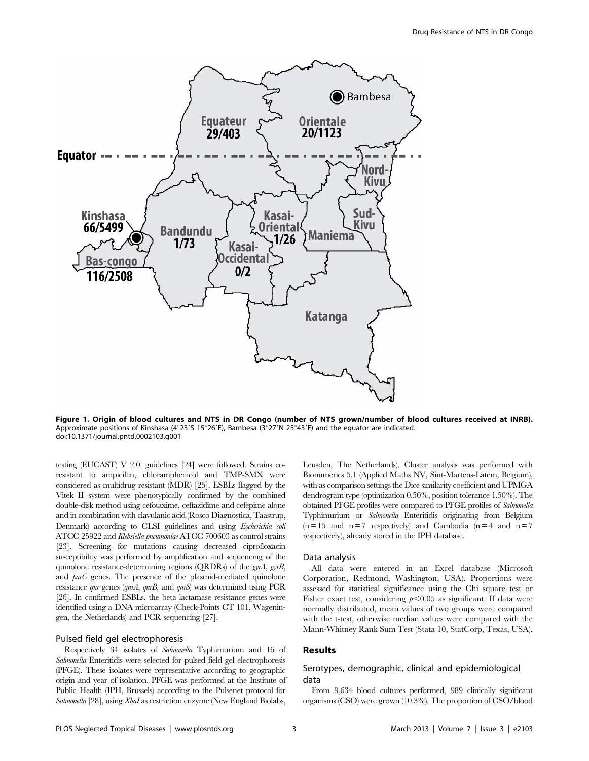

Figure 1. Origin of blood cultures and NTS in DR Congo (number of NTS grown/number of blood cultures received at INRB). Approximate positions of Kinshasa (4°23'S 15°26'E), Bambesa (3°27'N 25°43'E) and the equator are indicated. doi:10.1371/journal.pntd.0002103.g001

testing (EUCAST) V 2.0. guidelines [24] were followed. Strains coresistant to ampicillin, chloramphenicol and TMP-SMX were considered as multidrug resistant (MDR) [25]. ESBLs flagged by the Vitek II system were phenotypically confirmed by the combined double-disk method using cefotaxime, ceftazidime and cefepime alone and in combination with clavulanic acid (Rosco Diagnostica, Taastrup, Denmark) according to CLSI guidelines and using Escherichia coli ATCC 25922 and Klebsiella pneumoniae ATCC 700603 as control strains [23]. Screening for mutations causing decreased ciprofloxacin susceptibility was performed by amplification and sequencing of the quinolone resistance-determining regions (QRDRs) of the gyrA, gyrB, and parC genes. The presence of the plasmid-mediated quinolone resistance qnr genes (qnrA, qnrB, and qnrS) was determined using PCR [26]. In confirmed ESBLs, the beta lactamase resistance genes were identified using a DNA microarray (Check-Points CT 101, Wageningen, the Netherlands) and PCR sequencing [27].

# Pulsed field gel electrophoresis

Respectively 34 isolates of Salmonella Typhimurium and 16 of Salmonella Enteritidis were selected for pulsed field gel electrophoresis (PFGE). These isolates were representative according to geographic origin and year of isolation. PFGE was performed at the Institute of Public Health (IPH, Brussels) according to the Pulsenet protocol for Salmonella [28], using XbaI as restriction enzyme (New England Biolabs,

Leusden, The Netherlands). Cluster analysis was performed with Bionumerics 5.1 (Applied Maths NV, Sint-Martens-Latem, Belgium), with as comparison settings the Dice similarity coefficient and UPMGA dendrogram type (optimization 0.50%, position tolerance 1.50%). The obtained PFGE profiles were compared to PFGE profiles of Salmonella Typhimurium or Salmonella Enteritidis originating from Belgium  $(n = 15$  and  $n = 7$  respectively) and Cambodia  $(n = 4$  and  $n = 7$ respectively), already stored in the IPH database.

### Data analysis

All data were entered in an Excel database (Microsoft Corporation, Redmond, Washington, USA). Proportions were assessed for statistical significance using the Chi square test or Fisher exact test, considering  $p<0.05$  as significant. If data were normally distributed, mean values of two groups were compared with the t-test, otherwise median values were compared with the Mann-Whitney Rank Sum Test (Stata 10, StatCorp, Texas, USA).

## Results

# Serotypes, demographic, clinical and epidemiological data

From 9,634 blood cultures performed, 989 clinically significant organisms (CSO) were grown (10.3%). The proportion of CSO/blood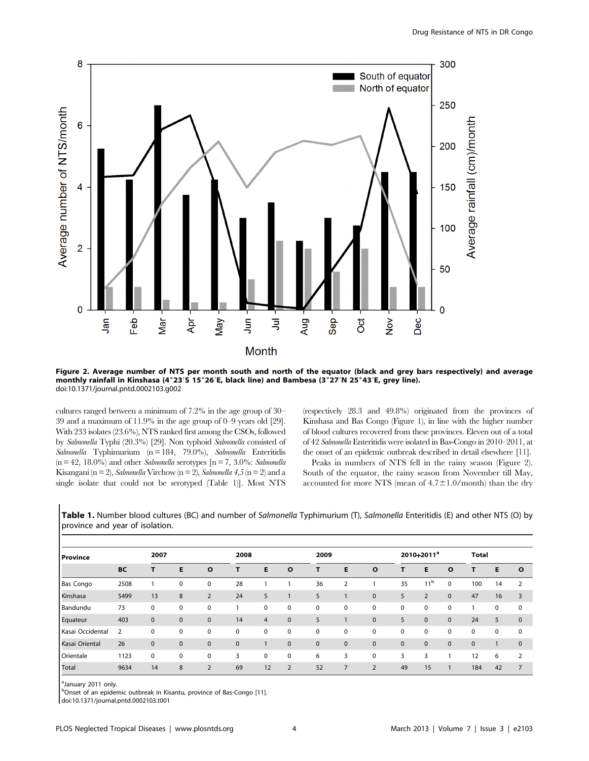

Figure 2. Average number of NTS per month south and north of the equator (black and grey bars respectively) and average monthly rainfall in Kinshasa (4°23'S 15°26'E, black line) and Bambesa (3°27'N 25°43'E, grey line). doi:10.1371/journal.pntd.0002103.g002

cultures ranged between a minimum of 7.2% in the age group of 30– 39 and a maximum of 11.9% in the age group of 0–9 years old [29]. With 233 isolates (23.6%), NTS ranked first among the CSOs, followed by Salmonella Typhi (20.3%) [29]. Non typhoid Salmonella consisted of Salmonella Typhimurium (n = 184, 79.0%), Salmonella Enteritidis  $(n = 42, 18.0\%)$  and other Salmonella serotypes  $[n = 7, 3.0\%$ : Salmonella Kisangani (n = 2), Salmonella Virchow (n = 2), Salmonella 4,5 (n = 2) and a single isolate that could not be serotyped (Table 1)]. Most NTS (respectively 28.3 and 49.8%) originated from the provinces of Kinshasa and Bas Congo (Figure 1), in line with the higher number of blood cultures recovered from these provinces. Eleven out of a total of 42 Salmonella Enteritidis were isolated in Bas-Congo in 2010–2011, at the onset of an epidemic outbreak described in detail elsewhere [11].

Peaks in numbers of NTS fell in the rainy season (Figure 2). South of the equator, the rainy season from November till May, accounted for more NTS (mean of  $4.7 \pm 1.0$ /month) than the dry

| <b>Province</b>  |                | 2007         |              |                | 2008        |           |                | 2009         |              |                |             | 2010+2011 <sup>ª</sup> |              | <b>Total</b> |    |                |
|------------------|----------------|--------------|--------------|----------------|-------------|-----------|----------------|--------------|--------------|----------------|-------------|------------------------|--------------|--------------|----|----------------|
|                  | BC             | т            | Е            | $\mathbf{o}$   | τ           | Е         | $\mathbf{o}$   |              | Е            | $\circ$        | Т           | Е                      | $\mathbf{o}$ |              | Е  | $\mathbf{o}$   |
| <b>Bas Congo</b> | 2508           |              | 0            | 0              | 28          |           |                | 36           | 2            |                | 35          | 11 <sup>b</sup>        | 0            | 100          | 14 | 2              |
| Kinshasa         | 5499           | 13           | 8            | $\overline{2}$ | 24          | 5         |                | 5            |              | $\mathbf 0$    | 5           | 2                      | $\mathbf 0$  | 47           | 16 | 3              |
| Bandundu         | 73             | 0            | 0            | 0              |             | 0         | 0              | $\mathbf 0$  | 0            | 0              | 0           | 0                      | 0            |              | 0  | $\mathbf 0$    |
| Equateur         | 403            | $\mathbf 0$  | $\pmb{0}$    | $\mathbf 0$    | 14          | 4         | $\mathbf 0$    | 5            |              | $\mathbf 0$    | 5           | $\mathbf{0}$           | $\mathbf{0}$ | 24           | 5  | $\mathbf{0}$   |
| Kasai Occidental | $\overline{2}$ | $\mathbf 0$  | $\mathbf 0$  | $\mathbf 0$    | 0           | $\pmb{0}$ | 0              | $\mathbf 0$  | $\mathbf 0$  | 0              | $\mathbf 0$ | 0                      | $\mathbf 0$  | $\mathbf 0$  | 0  | $\mathbf 0$    |
| Kasai Oriental   | 26             | $\mathbf{0}$ | $\mathbf{0}$ | $\mathbf{0}$   | $\mathbf 0$ |           | $\mathbf 0$    | $\mathbf{0}$ | $\mathbf{0}$ | $\mathbf{0}$   | $\mathbf 0$ | $\mathbf{0}$           | $\mathbf{0}$ | $\mathbf{0}$ |    | $\mathbf{0}$   |
| Orientale        | 1123           | 0            | 0            | 0              | 3           | 0         | $\pmb{0}$      | 6            | 3            | $\mathbf 0$    | 3           | 3                      |              | 12           | 6  | $\overline{2}$ |
| Total            | 9634           | 14           | 8            | $\overline{2}$ | 69          | 12        | $\overline{2}$ | 52           | 7            | $\overline{2}$ | 49          | 15                     |              | 184          | 42 | 7              |

Table 1. Number blood cultures (BC) and number of Salmonella Typhimurium (T), Salmonella Enteritidis (E) and other NTS (O) by province and year of isolation.

<sup>a</sup>January 2011 only.

<sup>b</sup>Onset of an epidemic outbreak in Kisantu, province of Bas-Congo [11].

doi:10.1371/journal.pntd.0002103.t001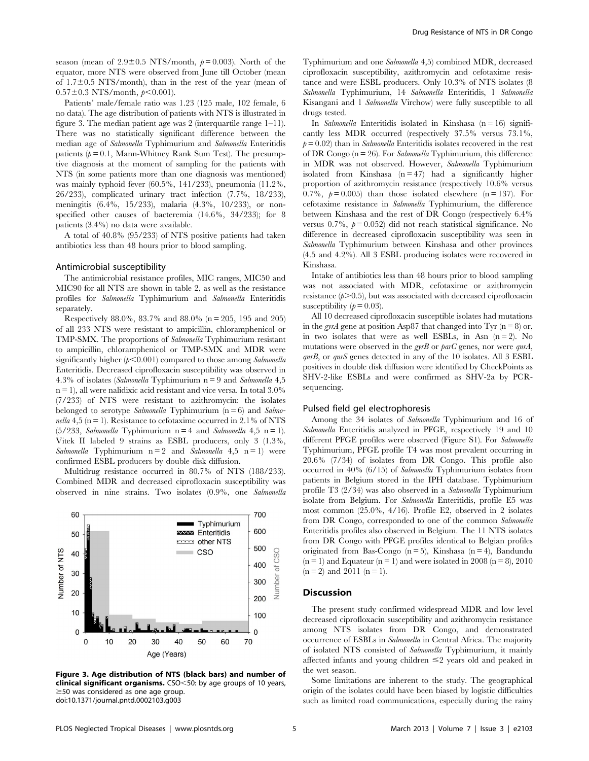season (mean of  $2.9\pm0.5$  NTS/month,  $p=0.003$ ). North of the equator, more NTS were observed from June till October (mean of  $1.7\pm0.5$  NTS/month), than in the rest of the year (mean of  $0.57\pm0.3$  NTS/month,  $p<0.001$ ).

Patients' male/female ratio was 1.23 (125 male, 102 female, 6 no data). The age distribution of patients with NTS is illustrated in figure 3. The median patient age was 2 (interquartile range 1–11). There was no statistically significant difference between the median age of Salmonella Typhimurium and Salmonella Enteritidis patients ( $p = 0.1$ , Mann-Whitney Rank Sum Test). The presumptive diagnosis at the moment of sampling for the patients with NTS (in some patients more than one diagnosis was mentioned) was mainly typhoid fever (60.5%, 141/233), pneumonia (11.2%, 26/233), complicated urinary tract infection (7.7%, 18/233), meningitis (6.4%, 15/233), malaria (4.3%, 10/233), or nonspecified other causes of bacteremia (14.6%, 34/233); for 8 patients (3.4%) no data were available.

A total of 40.8% (95/233) of NTS positive patients had taken antibiotics less than 48 hours prior to blood sampling.

#### Antimicrobial susceptibility

The antimicrobial resistance profiles, MIC ranges, MIC50 and MIC90 for all NTS are shown in table 2, as well as the resistance profiles for Salmonella Typhimurium and Salmonella Enteritidis separately.

Respectively 88.0%, 83.7% and 88.0% (n = 205, 195 and 205) of all 233 NTS were resistant to ampicillin, chloramphenicol or TMP-SMX. The proportions of Salmonella Typhimurium resistant to ampicillin, chloramphenicol or TMP-SMX and MDR were significantly higher  $(p<0.001)$  compared to those among Salmonella Enteritidis. Decreased ciprofloxacin susceptibility was observed in 4.3% of isolates (Salmonella Typhimurium  $n = 9$  and Salmonella 4,5  $n = 1$ , all were nalidixic acid resistant and vice versa. In total 3.0% (7/233) of NTS were resistant to azithromycin: the isolates belonged to serotype *Salmonella* Typhimurium  $(n = 6)$  and *Salmo*nella 4,5 (n = 1). Resistance to cefotaxime occurred in 2.1% of NTS (5/233, Salmonella Typhimurium  $n = 4$  and Salmonella 4,5  $n = 1$ ). Vitek II labeled 9 strains as ESBL producers, only 3 (1.3%, Salmonella Typhimurium  $n = 2$  and Salmonella 4,5  $n = 1$ ) were confirmed ESBL producers by double disk diffusion.

Multidrug resistance occurred in 80.7% of NTS (188/233). Combined MDR and decreased ciprofloxacin susceptibility was observed in nine strains. Two isolates (0.9%, one Salmonella



Figure 3. Age distribution of NTS (black bars) and number of **clinical significant organisms.** CSO $<$ 50: by age groups of 10 years,  $\geq$ 50 was considered as one age group. doi:10.1371/journal.pntd.0002103.g003

Typhimurium and one Salmonella 4,5) combined MDR, decreased ciprofloxacin susceptibility, azithromycin and cefotaxime resistance and were ESBL producers. Only 10.3% of NTS isolates (8 Salmonella Typhimurium, 14 Salmonella Enteritidis, 1 Salmonella Kisangani and 1 Salmonella Virchow) were fully susceptible to all drugs tested.

In Salmonella Enteritidis isolated in Kinshasa  $(n = 16)$  significantly less MDR occurred (respectively 37.5% versus 73.1%,  $p= 0.02$ ) than in *Salmonella* Enteritidis isolates recovered in the rest of DR Congo  $(n = 26)$ . For *Salmonella* Typhimurium, this difference in MDR was not observed. However, Salmonella Typhimurium isolated from Kinshasa  $(n = 47)$  had a significantly higher proportion of azithromycin resistance (respectively 10.6% versus 0.7%,  $p=0.005$  than those isolated elsewhere (n = 137). For cefotaxime resistance in Salmonella Typhimurium, the difference between Kinshasa and the rest of DR Congo (respectively 6.4% versus  $0.7\%$ ,  $p = 0.052$ ) did not reach statistical significance. No difference in decreased ciprofloxacin susceptibility was seen in Salmonella Typhimurium between Kinshasa and other provinces (4.5 and 4.2%). All 3 ESBL producing isolates were recovered in Kinshasa.

Intake of antibiotics less than 48 hours prior to blood sampling was not associated with MDR, cefotaxime or azithromycin resistance  $(p>0.5)$ , but was associated with decreased ciprofloxacin susceptibility ( $p = 0.03$ ).

All 10 decreased ciprofloxacin susceptible isolates had mutations in the gyrA gene at position Asp87 that changed into Tyr  $(n = 8)$  or, in two isolates that were as well ESBLs, in Asn  $(n = 2)$ . No mutations were observed in the  $gyrB$  or parC genes, nor were  $qnrA$ , qnrB, or qnrS genes detected in any of the 10 isolates. All 3 ESBL positives in double disk diffusion were identified by CheckPoints as SHV-2-like ESBLs and were confirmed as SHV-2a by PCRsequencing.

#### Pulsed field gel electrophoresis

Among the 34 isolates of Salmonella Typhimurium and 16 of Salmonella Enteritidis analyzed in PFGE, respectively 19 and 10 different PFGE profiles were observed (Figure S1). For Salmonella Typhimurium, PFGE profile T4 was most prevalent occurring in 20.6% (7/34) of isolates from DR Congo. This profile also occurred in 40% (6/15) of Salmonella Typhimurium isolates from patients in Belgium stored in the IPH database. Typhimurium profile T3 (2/34) was also observed in a Salmonella Typhimurium isolate from Belgium. For Salmonella Enteritidis, profile E5 was most common (25.0%, 4/16). Profile E2, observed in 2 isolates from DR Congo, corresponded to one of the common Salmonella Enteritidis profiles also observed in Belgium. The 11 NTS isolates from DR Congo with PFGE profiles identical to Belgian profiles originated from Bas-Congo (n = 5), Kinshasa (n = 4), Bandundu  $(n = 1)$  and Equateur  $(n = 1)$  and were isolated in 2008  $(n = 8)$ , 2010  $(n = 2)$  and 2011  $(n = 1)$ .

#### Discussion

The present study confirmed widespread MDR and low level decreased ciprofloxacin susceptibility and azithromycin resistance among NTS isolates from DR Congo, and demonstrated occurrence of ESBLs in Salmonella in Central Africa. The majority of isolated NTS consisted of Salmonella Typhimurium, it mainly affected infants and young children  $\leq$ 2 years old and peaked in the wet season.

Some limitations are inherent to the study. The geographical origin of the isolates could have been biased by logistic difficulties such as limited road communications, especially during the rainy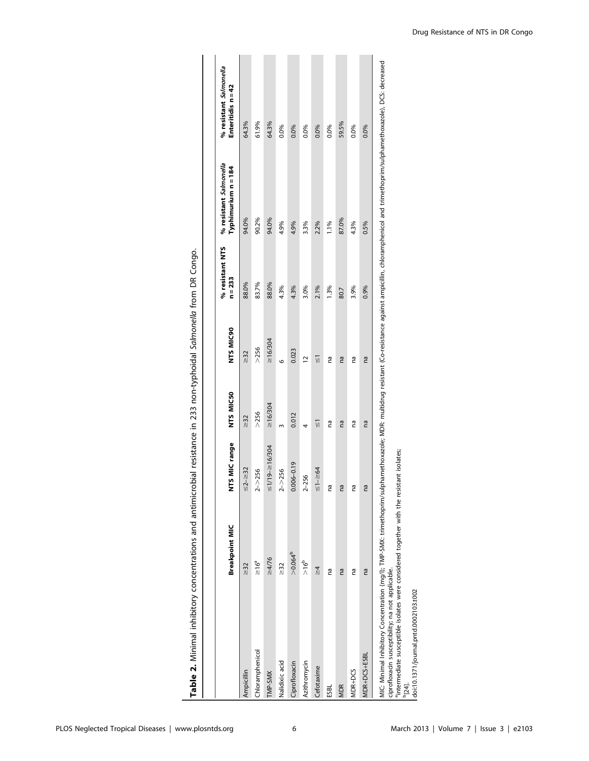|                                                                                                                                                                                                                                                                                                                                                                                                                                                  | <b>Breakpoint MIC</b> | NTS MIC range             | NTS MIC50      | NTS MIC90      | % resistant NTS<br>$n = 233$ | % resistant Salmonella<br>Typhimurium n = 184 | % resistant Salmonella<br>Enteritidis $n = 42$ |
|--------------------------------------------------------------------------------------------------------------------------------------------------------------------------------------------------------------------------------------------------------------------------------------------------------------------------------------------------------------------------------------------------------------------------------------------------|-----------------------|---------------------------|----------------|----------------|------------------------------|-----------------------------------------------|------------------------------------------------|
| Ampicillin                                                                                                                                                                                                                                                                                                                                                                                                                                       | $\geq 32$             | $\leq 2 - 32$             | $\geq 32$      | $\geq 32$      | 88.0%                        | 94.0%                                         | 64.3%                                          |
| Chloramphenicol                                                                                                                                                                                                                                                                                                                                                                                                                                  | $\geq 16^a$           | $2 - > 256$               | >256           | >256           | 83.7%                        | 90.2%                                         | 61.9%                                          |
| TMP-SMX                                                                                                                                                                                                                                                                                                                                                                                                                                          | $\geq 4/76$           | $\leq 1/19 - \geq 16/304$ | $\geq 16/304$  | $\geq 16/304$  | 88.0%                        | 94.0%                                         | 64.3%                                          |
| Nalidixic acid                                                                                                                                                                                                                                                                                                                                                                                                                                   | $\geq 32$             | $2 - > 256$               | $\mathsf{C}$   | O              | 4.3%                         | 4.9%                                          | 0.0%                                           |
| Ciprofloxacin                                                                                                                                                                                                                                                                                                                                                                                                                                    | $>0.064^{b}$          | $0.006 - 0.19$            | 0.012          | 0.023          | 4.3%                         | 4.9%                                          | 0.0%                                           |
| Azithromycin                                                                                                                                                                                                                                                                                                                                                                                                                                     | $\frac{1}{2}$         | $2 - 256$                 | 4              | 21             | 3.0%                         | 3.3%                                          | 0.0%                                           |
| Cefotaxime                                                                                                                                                                                                                                                                                                                                                                                                                                       | $\frac{1}{2}$         | $-264$<br>$\overline{v}$  | $\overline{V}$ | $\overline{V}$ | 2.1%                         | 2.2%                                          | 0.0%                                           |
| <b>ESBL</b>                                                                                                                                                                                                                                                                                                                                                                                                                                      | <u>ra</u>             | na                        | <u>na</u>      | na             | 1.3%                         | 1.1%                                          | 0.0%                                           |
| <b>MDR</b>                                                                                                                                                                                                                                                                                                                                                                                                                                       | na                    | na                        | na             | na             | 80.7                         | 87.0%                                         | 59.5%                                          |
| MDR+DCS                                                                                                                                                                                                                                                                                                                                                                                                                                          | na                    | na                        | na             | Ca             | 3.9%                         | 4.3%                                          | 0.0%                                           |
| MDR+DCS+ESBL                                                                                                                                                                                                                                                                                                                                                                                                                                     | na                    | na                        | na             | na             | 0.9%                         | 0.5%                                          | 0.0%                                           |
| MIC: Minimal Inhibitory Concentration (mg/l); TMP-SMX: trimethoprim/sulphamethoxazole; MDR: multidrug resistant (Co-resistance against ampicillin, chloramphenicol and trimethoprim/sulphamethoxazole), DCS: decreased<br>intermediate susceptible isolates were considered together with the resistant isolates;<br>ciprofloxacin susceptibility; na not applicable.<br>doi:10.1371/journal.pntd.0002103.t002<br><sup>b</sup> <sup>[24]</sup> . |                       |                           |                |                |                              |                                               |                                                |

Table 2. Minimal inhibitory concentrations and antimicrobial resistance in 233 non-typhoidal Salmonella from DR Congo. Table 2. Minimal inhibitory concentrations and antimicrobial resistance in 233 non-typhoidal Salmonella from DR Congo.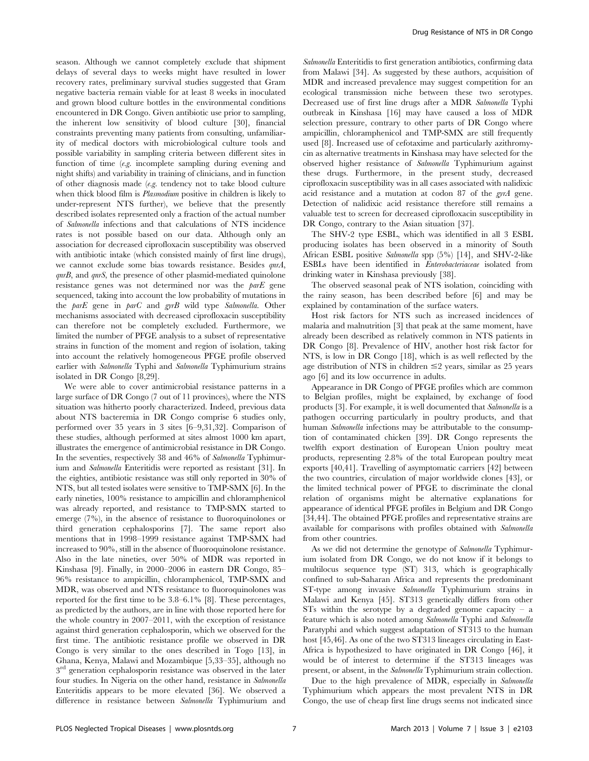season. Although we cannot completely exclude that shipment delays of several days to weeks might have resulted in lower recovery rates, preliminary survival studies suggested that Gram negative bacteria remain viable for at least 8 weeks in inoculated and grown blood culture bottles in the environmental conditions encountered in DR Congo. Given antibiotic use prior to sampling, the inherent low sensitivity of blood culture [30], financial constraints preventing many patients from consulting, unfamiliarity of medical doctors with microbiological culture tools and possible variability in sampling criteria between different sites in function of time (e.g. incomplete sampling during evening and night shifts) and variability in training of clinicians, and in function of other diagnosis made (e.g. tendency not to take blood culture when thick blood film is *Plasmodium* positive in children is likely to under-represent NTS further), we believe that the presently described isolates represented only a fraction of the actual number of Salmonella infections and that calculations of NTS incidence rates is not possible based on our data. Although only an association for decreased ciprofloxacin susceptibility was observed with antibiotic intake (which consisted mainly of first line drugs), we cannot exclude some bias towards resistance. Besides qnrA,  $qnB$ , and  $qnTS$ , the presence of other plasmid-mediated quinolone resistance genes was not determined nor was the *parE* gene sequenced, taking into account the low probability of mutations in the parE gene in parC and gyrB wild type Salmonella. Other mechanisms associated with decreased ciprofloxacin susceptibility can therefore not be completely excluded. Furthermore, we limited the number of PFGE analysis to a subset of representative strains in function of the moment and region of isolation, taking into account the relatively homogeneous PFGE profile observed earlier with Salmonella Typhi and Salmonella Typhimurium strains isolated in DR Congo [8,29].

We were able to cover antimicrobial resistance patterns in a large surface of DR Congo (7 out of 11 provinces), where the NTS situation was hitherto poorly characterized. Indeed, previous data about NTS bacteremia in DR Congo comprise 6 studies only, performed over 35 years in 3 sites [6–9,31,32]. Comparison of these studies, although performed at sites almost 1000 km apart, illustrates the emergence of antimicrobial resistance in DR Congo. In the seventies, respectively 38 and 46% of Salmonella Typhimurium and Salmonella Enteritidis were reported as resistant [31]. In the eighties, antibiotic resistance was still only reported in 30% of NTS, but all tested isolates were sensitive to TMP-SMX [6]. In the early nineties, 100% resistance to ampicillin and chloramphenicol was already reported, and resistance to TMP-SMX started to emerge (7%), in the absence of resistance to fluoroquinolones or third generation cephalosporins [7]. The same report also mentions that in 1998–1999 resistance against TMP-SMX had increased to 90%, still in the absence of fluoroquinolone resistance. Also in the late nineties, over 50% of MDR was reported in Kinshasa [9]. Finally, in 2000–2006 in eastern DR Congo, 85– 96% resistance to ampicillin, chloramphenicol, TMP-SMX and MDR, was observed and NTS resistance to fluoroquinolones was reported for the first time to be 3.8–6.1% [8]. These percentages, as predicted by the authors, are in line with those reported here for the whole country in 2007–2011, with the exception of resistance against third generation cephalosporin, which we observed for the first time. The antibiotic resistance profile we observed in DR Congo is very similar to the ones described in Togo [13], in Ghana, Kenya, Malawi and Mozambique [5,33–35], although no  $3<sup>rd</sup>$  generation cephalosporin resistance was observed in the later four studies. In Nigeria on the other hand, resistance in Salmonella Enteritidis appears to be more elevated [36]. We observed a difference in resistance between Salmonella Typhimurium and Salmonella Enteritidis to first generation antibiotics, confirming data from Malawi [34]. As suggested by these authors, acquisition of MDR and increased prevalence may suggest competition for an ecological transmission niche between these two serotypes. Decreased use of first line drugs after a MDR Salmonella Typhi outbreak in Kinshasa [16] may have caused a loss of MDR selection pressure, contrary to other parts of DR Congo where ampicillin, chloramphenicol and TMP-SMX are still frequently used [8]. Increased use of cefotaxime and particularly azithromycin as alternative treatments in Kinshasa may have selected for the observed higher resistance of Salmonella Typhimurium against these drugs. Furthermore, in the present study, decreased ciprofloxacin susceptibility was in all cases associated with nalidixic acid resistance and a mutation at codon 87 of the gyrA gene. Detection of nalidixic acid resistance therefore still remains a valuable test to screen for decreased ciprofloxacin susceptibility in DR Congo, contrary to the Asian situation [37].

The SHV-2 type ESBL, which was identified in all 3 ESBL producing isolates has been observed in a minority of South African ESBL positive Salmonella spp (5%) [14], and SHV-2-like ESBLs have been identified in Enterobacteriaceae isolated from drinking water in Kinshasa previously [38].

The observed seasonal peak of NTS isolation, coinciding with the rainy season, has been described before [6] and may be explained by contamination of the surface waters.

Host risk factors for NTS such as increased incidences of malaria and malnutrition [3] that peak at the same moment, have already been described as relatively common in NTS patients in DR Congo [8]. Prevalence of HIV, another host risk factor for NTS, is low in DR Congo [18], which is as well reflected by the age distribution of NTS in children  $\leq$  years, similar as 25 years ago [6] and its low occurrence in adults.

Appearance in DR Congo of PFGE profiles which are common to Belgian profiles, might be explained, by exchange of food products [3]. For example, it is well documented that Salmonella is a pathogen occurring particularly in poultry products, and that human Salmonella infections may be attributable to the consumption of contaminated chicken [39]. DR Congo represents the twelfth export destination of European Union poultry meat products, representing 2.8% of the total European poultry meat exports [40,41]. Travelling of asymptomatic carriers [42] between the two countries, circulation of major worldwide clones [43], or the limited technical power of PFGE to discriminate the clonal relation of organisms might be alternative explanations for appearance of identical PFGE profiles in Belgium and DR Congo [34,44]. The obtained PFGE profiles and representative strains are available for comparisons with profiles obtained with Salmonella from other countries.

As we did not determine the genotype of Salmonella Typhimurium isolated from DR Congo, we do not know if it belongs to multilocus sequence type (ST) 313, which is geographically confined to sub-Saharan Africa and represents the predominant ST-type among invasive Salmonella Typhimurium strains in Malawi and Kenya [45]. ST313 genetically differs from other STs within the serotype by a degraded genome capacity – a feature which is also noted among Salmonella Typhi and Salmonella Paratyphi and which suggest adaptation of ST313 to the human host [45,46]. As one of the two ST313 lineages circulating in East-Africa is hypothesized to have originated in DR Congo [46], it would be of interest to determine if the ST313 lineages was present, or absent, in the Salmonella Typhimurium strain collection.

Due to the high prevalence of MDR, especially in Salmonella Typhimurium which appears the most prevalent NTS in DR Congo, the use of cheap first line drugs seems not indicated since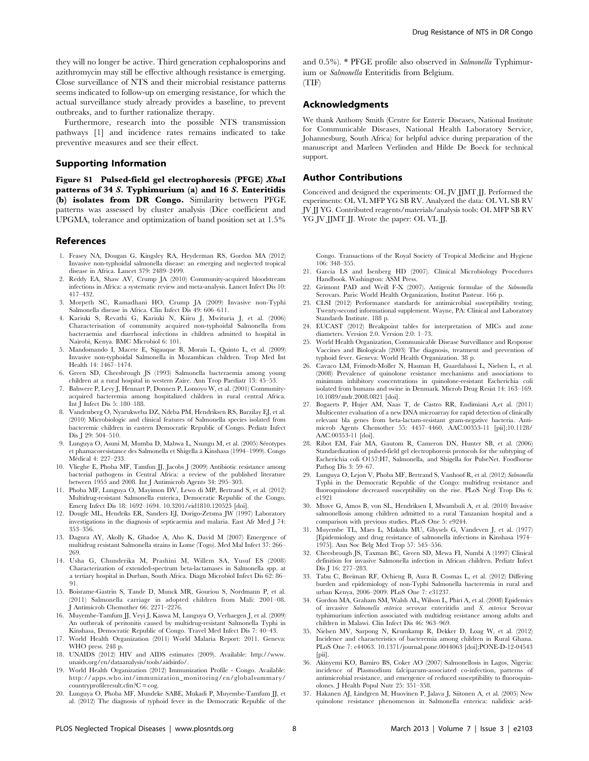they will no longer be active. Third generation cephalosporins and azithromycin may still be effective although resistance is emerging. Close surveillance of NTS and their microbial resistance patterns seems indicated to follow-up on emerging resistance, for which the actual surveillance study already provides a baseline, to prevent outbreaks, and to further rationalize therapy.

Furthermore, research into the possible NTS transmission pathways [1] and incidence rates remains indicated to take preventive measures and see their effect.

#### Supporting Information

Figure S1 Pulsed-field gel electrophoresis (PFGE) XbaI patterns of 34 S. Typhimurium (a) and 16 S. Enteritidis (b) isolates from DR Congo. Similarity between PFGE patterns was assessed by cluster analysis (Dice coefficient and UPGMA, tolerance and optimization of band position set at 1.5%

#### References

- 1. Feasey NA, Dougan G, Kingsley RA, Heyderman RS, Gordon MA (2012) Invasive non-typhoidal salmonella disease: an emerging and neglected tropical disease in Africa. Lancet 379: 2489–2499.
- 2. Reddy EA, Shaw AV, Crump JA (2010) Community-acquired bloodstream infections in Africa: a systematic review and meta-analysis. Lancet Infect Dis 10: 417–432.
- 3. Morpeth SC, Ramadhani HO, Crump JA (2009) Invasive non-Typhi Salmonella disease in Africa. Clin Infect Dis 49: 606–611.
- 4. Kariuki S, Revathi G, Kariuki N, Kiiru J, Mwituria J, et al. (2006) Characterisation of community acquired non-typhoidal Salmonella from bacteraemia and diarrhoeal infections in children admitted to hospital in Nairobi, Kenya. BMC Microbiol 6: 101.
- 5. Mandomando I, Macete E, Sigauque B, Morais L, Quinto L, et al. (2009) Invasive non-typhoidal Salmonella in Mozambican children. Trop Med Int Health 14: 1467–1474.
- 6. Green SD, Cheesbrough JS (1993) Salmonella bacteraemia among young children at a rural hospital in western Zaire. Ann Trop Paediatr 13: 45–53.
- 7. Bahwere P, Levy J, Hennart P, Donnen P, Lomoyo W, et al. (2001) Communityacquired bacteremia among hospitalized children in rural central Africa. Int J Infect Dis 5: 180–188.
- 8. Vandenberg O, Nyarukweba DZ, Ndeba PM, Hendriksen RS, Barzilay EJ, et al. (2010) Microbiologic and clinical features of Salmonella species isolated from bacteremic children in eastern Democratic Republic of Congo. Pediatr Infect Dis J 29: 504-510.
- 9. Lunguya O, Asuni M, Mumba D, Mabwa L, Nsungu M, et al. (2005) Sérotypes et phamacoresistance des Salmonella et Shigella a` Kinshasa (1994–1999). Congo Médical 4: 227-233.
- 10. Vlieghe E, Phoba MF, Tamfun JJ, Jacobs J (2009) Antibiotic resistance among bacterial pathogens in Central Africa: a review of the published literature between 1955 and 2008. Int J Antimicrob Agents 34: 295–303.
- 11. Phoba MF, Lunguya O, Mayimon DV, Lewo di MP, Bertrand S, et al. (2012) Multidrug-resistant Salmonella enterica, Democratic Republic of the Congo. Emerg Infect Dis 18: 1692–1694. 10.3201/eid1810.120525 [doi].
- 12. Dougle ML, Hendriks ER, Sanders EJ, Dorigo-Zetsma JW (1997) Laboratory investigations in the diagnosis of septicaemia and malaria. East Afr Med J 74: 353–356.
- 13. Dagnra AY, Akolly K, Gbadoe A, Aho K, David M (2007) Emergence of multidrug resistant Salmonella strains in Lome (Togo). Med Mal Infect 37: 266– 269.
- 14. Usha G, Chunderika M, Prashini M, Willem SA, Yusuf ES (2008) Characterization of extended-spectrum beta-lactamases in Salmonella spp. at a tertiary hospital in Durban, South Africa. Diagn Microbiol Infect Dis 62: 86– 91.
- 15. Boisrame-Gastrin S, Tande D, Munck MR, Gouriou S, Nordmann P, et al. (2011) Salmonella carriage in adopted children from Mali: 2001–08. J Antimicrob Chemother 66: 2271–2276.
- 16. Muyembe-Tamfum JJ, Veyi J, Kaswa M, Lunguya O, Verhaegen J, et al. (2009) An outbreak of peritonitis caused by multidrug-resistant Salmonella Typhi in Kinshasa, Democratic Republic of Congo. Travel Med Infect Dis 7: 40–43.
- 17. World Health Organization (2011) World Malaria Report: 2011. Geneva: WHO press. 248 p.
- 18. UNAIDS (2012) HIV and AIDS estimates (2009). Available: http://www. unaids.org/en/dataanalysis/tools/aidsinfo/.
- 19. World Health Organization (2012) Immunization Profile Congo. Available: http://apps.who.int/immunization\_monitoring/en/globalsummary/ countryprofileresult.cfm?C = cog.
- 20. Lunguya O, Phoba MF, Mundeke SABE, Mukadi P, Muyembe-Tamfum JJ, et al. (2012) The diagnosis of typhoid fever in the Democratic Republic of the

and 0.5%). \* PFGE profile also observed in Salmonella Typhimurium or Salmonella Enteritidis from Belgium. (TIF)

### Acknowledgments

We thank Anthony Smith (Centre for Enteric Diseases, National Institute for Communicable Diseases, National Health Laboratory Service, Johannesburg, South Africa) for helpful advice during preparation of the manuscript and Marleen Verlinden and Hilde De Boeck for technical support.

# Author Contributions

Conceived and designed the experiments: OL JV JJMT JJ. Performed the experiments: OL VL MFP YG SB RV. Analyzed the data: OL VL SB RV JV JJ YG. Contributed reagents/materials/analysis tools: OL MFP SB RV YG JV JJMT JJ. Wrote the paper: OL VL JJ.

Congo. Transactions of the Royal Society of Tropical Medicine and Hygiene 106: 348–355.

- 21. Garcia LS and Isenberg HD (2007). Clinical Microbiology Procedures Handbook. Washington: ASM Press.
- 22. Grimont PAD and Weill F-X (2007). Antigenic formulae of the Salmonella Serovars. Paris: World Health Organization, Institut Pasteur. 166 p.
- 23. CLSI (2012) Performance standards for antimicrobial susceptibility testing; Twenty-second informational supplement. Wayne, PA: Clinical and Laboratory Standards Institute. 188 p.
- 24. EUCAST (2012) Breakpoint tables for interpretation of MICs and zone diameters. Version 2.0. Version 2.0: 1–73.
- 25. World Health Organization, Communicable Disease Surveillance and Response Vaccines and Biologicals (2003) The diagnosis, treatment and prevention of typhoid fever. Geneva: World Health Organization. 38 p.
- 26. Cavaco LM, Frimodt-Moller N, Hasman H, Guardabassi L, Nielsen L, et al. (2008) Prevalence of quinolone resistance mechanisms and associations to minimum inhibitory concentrations in quinolone-resistant Escherichia coli isolated from humans and swine in Denmark. Microb Drug Resist 14: 163–169. 10.1089/mdr.2008.0821 [doi].
- 27. Bogaerts P, Hujer AM, Naas T, de Castro RR, Endimiani A,et al. (2011) Multicenter evaluation of a new DNA microarray for rapid detection of clinically relevant bla genes from beta-lactam-resistant gram-negative bacteria. Antimicrob Agents Chemother 55: 4457–4460. AAC.00353-11 [pii];10.1128/ AAC.00353-11 [doi].
- 28. Ribot EM, Fair MA, Gautom R, Cameron DN, Hunter SB, et al. (2006) Standardization of pulsed-field gel electrophoresis protocols for the subtyping of Escherichia coli O157:H7, Salmonella, and Shigella for PulseNet. Foodborne Pathog Dis 3: 59–67.
- 29. Lunguya O, Lejon V, Phoba MF, Bertrand S, Vanhoof R, et al. (2012) Salmonella Typhi in the Democratic Republic of the Congo: multidrug resistance and fluoroquinolone decreased susceptibility on the rise. PLoS Negl Trop Dis 6: e1921
- 30. Mtove G, Amos B, von SL, Hendriksen I, Mwambuli A, et al. (2010) Invasive salmonellosis among children admitted to a rural Tanzanian hospital and a comparison with previous studies. PLoS One 5: e9244.
- 31. Muyembe TL, Maes L, Makulu MU, Ghysels G, Vandeven J, et al. (1977) [Epidemiology and drug resistance of salmonella infections in Kinshasa 1974– 1975]. Ann Soc Belg Med Trop 57: 545–556.
- 32. Cheesbrough JS, Taxman BC, Green SD, Mewa FI, Numbi A (1997) Clinical definition for invasive Salmonella infection in African children. Pediatr Infect Dis J 16: 277–283.
- 33. Tabu C, Breiman RF, Ochieng B, Aura B, Cosmas L, et al. (2012) Differing burden and epidemiology of non-Typhi Salmonella bacteremia in rural and urban Kenya, 2006–2009. PLoS One 7: e31237.
- 34. Gordon MA, Graham SM, Walsh AL, Wilson L, Phiri A, et al. (2008) Epidemics of invasive Salmonella enterica serovar enteritidis and S. enterica Serovar typhimurium infection associated with multidrug resistance among adults and children in Malawi. Clin Infect Dis 46: 963–969.
- 35. Nielsen MV, Sarpong N, Krumkamp R, Dekker D, Loag W, et al. (2012) Incidence and characteristics of bacteremia among children in Rural Ghana. PLoS One 7: e44063. 10.1371/journal.pone.0044063 [doi];PONE-D-12-04543 [pii].
- 36. Akinyemi KO, Bamiro BS, Coker AO (2007) Salmonellosis in Lagos, Nigeria: incidence of Plasmodium falciparum-associated co-infection, patterns of antimicrobial resistance, and emergence of reduced susceptibility to fluoroquinolones. J Health Popul Nutr 25: 351–358.
- 37. Hakanen AJ, Lindgren M, Huovinen P, Jalava J, Siitonen A, et al. (2005) New quinolone resistance phenomenon in Salmonella enterica: nalidixic acid-